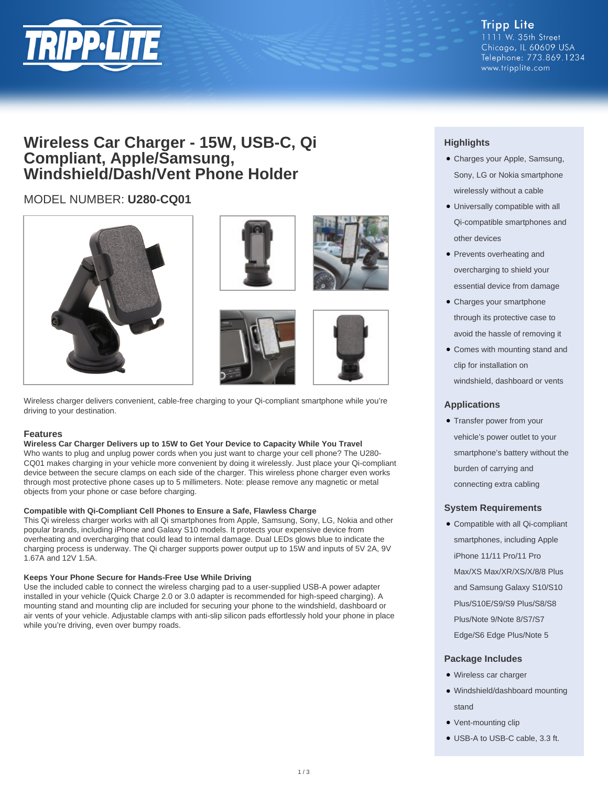

## **Wireless Car Charger - 15W, USB-C, Qi Compliant, Apple/Samsung, Windshield/Dash/Vent Phone Holder**

## MODEL NUMBER: **U280-CQ01**





Wireless charger delivers convenient, cable-free charging to your Qi-compliant smartphone while you're driving to your destination.

## **Features**

## **Wireless Car Charger Delivers up to 15W to Get Your Device to Capacity While You Travel**

Who wants to plug and unplug power cords when you just want to charge your cell phone? The U280- CQ01 makes charging in your vehicle more convenient by doing it wirelessly. Just place your Qi-compliant device between the secure clamps on each side of the charger. This wireless phone charger even works through most protective phone cases up to 5 millimeters. Note: please remove any magnetic or metal objects from your phone or case before charging.

#### **Compatible with Qi-Compliant Cell Phones to Ensure a Safe, Flawless Charge**

This Qi wireless charger works with all Qi smartphones from Apple, Samsung, Sony, LG, Nokia and other popular brands, including iPhone and Galaxy S10 models. It protects your expensive device from overheating and overcharging that could lead to internal damage. Dual LEDs glows blue to indicate the charging process is underway. The Qi charger supports power output up to 15W and inputs of 5V 2A, 9V 1.67A and 12V 1.5A.

#### **Keeps Your Phone Secure for Hands-Free Use While Driving**

Use the included cable to connect the wireless charging pad to a user-supplied USB-A power adapter installed in your vehicle (Quick Charge 2.0 or 3.0 adapter is recommended for high-speed charging). A mounting stand and mounting clip are included for securing your phone to the windshield, dashboard or air vents of your vehicle. Adjustable clamps with anti-slip silicon pads effortlessly hold your phone in place while you're driving, even over bumpy roads.

## **Highlights**

- Charges your Apple, Samsung, Sony, LG or Nokia smartphone wirelessly without a cable
- Universally compatible with all Qi-compatible smartphones and other devices
- Prevents overheating and overcharging to shield your essential device from damage
- Charges your smartphone through its protective case to avoid the hassle of removing it
- Comes with mounting stand and clip for installation on windshield, dashboard or vents

## **Applications**

• Transfer power from your vehicle's power outlet to your smartphone's battery without the burden of carrying and connecting extra cabling

## **System Requirements**

• Compatible with all Qi-compliant smartphones, including Apple iPhone 11/11 Pro/11 Pro Max/XS Max/XR/XS/X/8/8 Plus and Samsung Galaxy S10/S10 Plus/S10E/S9/S9 Plus/S8/S8 Plus/Note 9/Note 8/S7/S7 Edge/S6 Edge Plus/Note 5

## **Package Includes**

- Wireless car charger
- Windshield/dashboard mounting stand
- Vent-mounting clip
- USB-A to USB-C cable, 3.3 ft.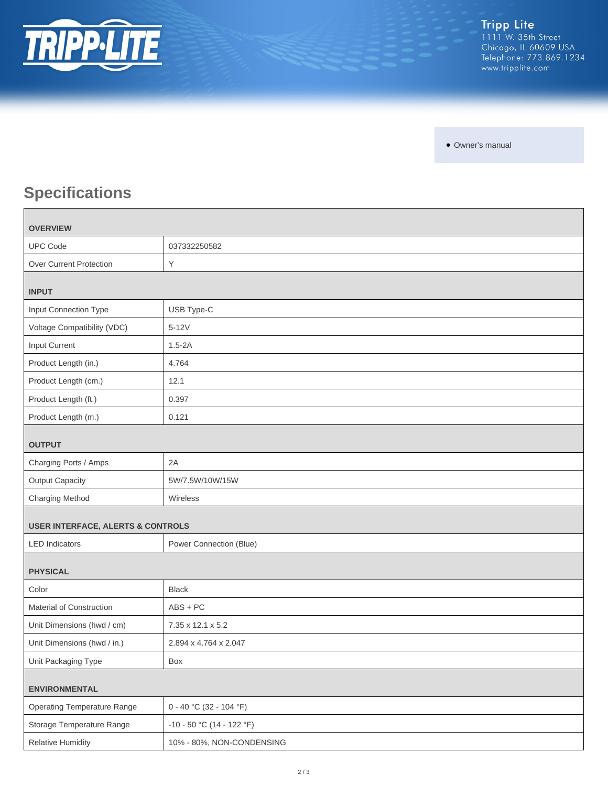

• Owner's manual

# **Specifications**

| <b>OVERVIEW</b>                              |                             |
|----------------------------------------------|-----------------------------|
| <b>UPC Code</b>                              | 037332250582                |
| Over Current Protection                      | Y                           |
| <b>INPUT</b>                                 |                             |
| Input Connection Type                        | USB Type-C                  |
| Voltage Compatibility (VDC)                  | $5-12V$                     |
| Input Current                                | $1.5 - 2A$                  |
| Product Length (in.)                         | 4.764                       |
| Product Length (cm.)                         | 12.1                        |
| Product Length (ft.)                         | 0.397                       |
| Product Length (m.)                          | 0.121                       |
| <b>OUTPUT</b>                                |                             |
| Charging Ports / Amps                        | 2A                          |
| <b>Output Capacity</b>                       | 5W/7.5W/10W/15W             |
| Charging Method                              | Wireless                    |
| <b>USER INTERFACE, ALERTS &amp; CONTROLS</b> |                             |
| <b>LED</b> Indicators                        | Power Connection (Blue)     |
| <b>PHYSICAL</b>                              |                             |
| Color                                        | <b>Black</b>                |
| Material of Construction                     | $ABS + PC$                  |
| Unit Dimensions (hwd / cm)                   | 7.35 x 12.1 x 5.2           |
| Unit Dimensions (hwd / in.)                  | 2.894 x 4.764 x 2.047       |
| Unit Packaging Type                          | Box                         |
| <b>ENVIRONMENTAL</b>                         |                             |
| <b>Operating Temperature Range</b>           | $0 - 40 °C (32 - 104 °F)$   |
| Storage Temperature Range                    | $-10 - 50$ °C (14 - 122 °F) |
| <b>Relative Humidity</b>                     | 10% - 80%, NON-CONDENSING   |